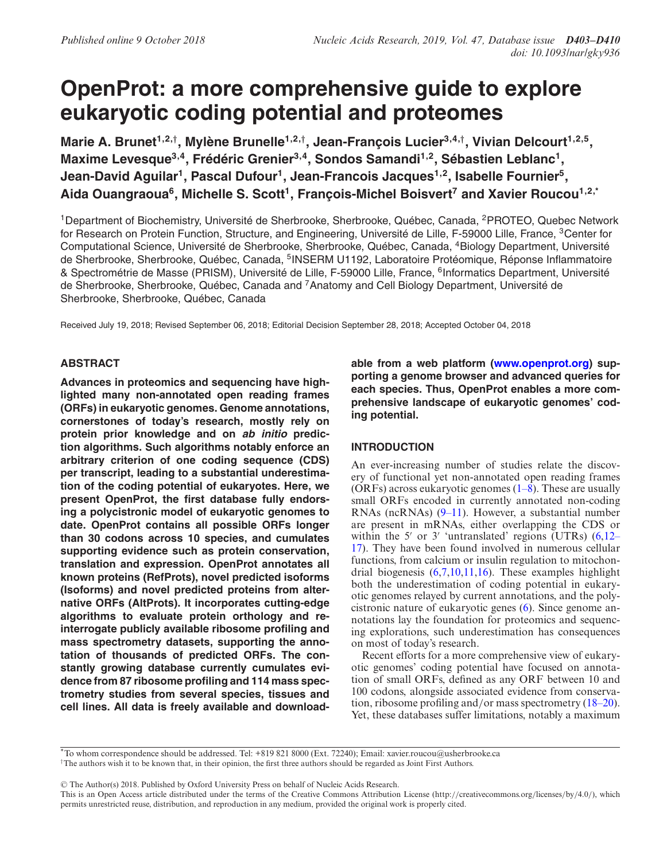# **OpenProt: a more comprehensive guide to explore eukaryotic coding potential and proteomes**

**Marie A. Brunet1,2,***†***, Mylene Brunelle ` 1,2,***†***, Jean-Franc¸ois Lucier3,4,***†***, Vivian Delcourt1,2,5, Maxime Levesque**<sup>3,4</sup>, Frédéric Grenier<sup>3,4</sup>, Sondos Samandi<sup>1,2</sup>, Sébastien Leblanc<sup>1</sup>, **Jean-David Aguilar1, Pascal Dufour1, Jean-Francois Jacques1,2, Isabelle Fournier5,** Aida Ouangraoua<sup>6</sup>, Michelle S. Scott<sup>1</sup>, François-Michel Boisvert<sup>7</sup> and Xavier Roucou<sup>1,2,\*</sup>

<sup>1</sup>Department of Biochemistry, Université de Sherbrooke, Sherbrooke, Québec, Canada, <sup>2</sup>PROTEO, Quebec Network for Research on Protein Function, Structure, and Engineering, Université de Lille, F-59000 Lille, France, <sup>3</sup>Center for Computational Science, Université de Sherbrooke, Sherbrooke, Québec, Canada, <sup>4</sup>Biology Department, Université de Sherbrooke, Sherbrooke, Québec, Canada, <sup>5</sup>INSERM U1192, Laboratoire Protéomique, Réponse Inflammatoire & Spectrométrie de Masse (PRISM), Université de Lille, F-59000 Lille, France, <sup>6</sup>Informatics Department, Université de Sherbrooke, Sherbrooke, Québec, Canada and <sup>7</sup>Anatomy and Cell Biology Department, Université de Sherbrooke, Sherbrooke, Québec, Canada

Received July 19, 2018; Revised September 06, 2018; Editorial Decision September 28, 2018; Accepted October 04, 2018

## **ABSTRACT**

**Advances in proteomics and sequencing have highlighted many non-annotated open reading frames (ORFs) in eukaryotic genomes. Genome annotations, cornerstones of today's research, mostly rely on protein prior knowledge and on ab initio prediction algorithms. Such algorithms notably enforce an arbitrary criterion of one coding sequence (CDS) per transcript, leading to a substantial underestimation of the coding potential of eukaryotes. Here, we present OpenProt, the first database fully endorsing a polycistronic model of eukaryotic genomes to date. OpenProt contains all possible ORFs longer than 30 codons across 10 species, and cumulates supporting evidence such as protein conservation, translation and expression. OpenProt annotates all known proteins (RefProts), novel predicted isoforms (Isoforms) and novel predicted proteins from alternative ORFs (AltProts). It incorporates cutting-edge algorithms to evaluate protein orthology and reinterrogate publicly available ribosome profiling and mass spectrometry datasets, supporting the annotation of thousands of predicted ORFs. The constantly growing database currently cumulates evidence from 87 ribosome profiling and 114 mass spectrometry studies from several species, tissues and cell lines. All data is freely available and download-** **able from a web platform [\(www.openprot.org\)](http://www.openprot.org) supporting a genome browser and advanced queries for each species. Thus, OpenProt enables a more comprehensive landscape of eukaryotic genomes' coding potential.**

# **INTRODUCTION**

An ever-increasing number of studies relate the discovery of functional yet non-annotated open reading frames (ORFs) across eukaryotic genomes  $(1-8)$ . These are usually small ORFs encoded in currently annotated non-coding RNAs (ncRNAs)  $(9-11)$ . However, a substantial number are present in mRNAs, either overlapping the CDS or within the 5' or 3' 'untranslated' regions (UTRs)  $(6,12 (6,12-$ [17\). They have been found involved in numerous cellular](#page-7-0) functions, from calcium or insulin regulation to mitochondrial biogenesis [\(6,](#page-6-0)[7,10,11,16\)](#page-7-0). These examples highlight both the underestimation of coding potential in eukaryotic genomes relayed by current annotations, and the polycistronic nature of eukaryotic genes [\(6\)](#page-6-0). Since genome annotations lay the foundation for proteomics and sequencing explorations, such underestimation has consequences on most of today's research.

Recent efforts for a more comprehensive view of eukaryotic genomes' coding potential have focused on annotation of small ORFs, defined as any ORF between 10 and 100 codons, alongside associated evidence from conservation, ribosome profiling and/or mass spectrometry [\(18–20\)](#page-7-0). Yet, these databases suffer limitations, notably a maximum

<sup>C</sup> The Author(s) 2018. Published by Oxford University Press on behalf of Nucleic Acids Research.

<sup>\*</sup>To whom correspondence should be addressed. Tel: +819 821 8000 (Ext. 72240); Email: xavier.roucou@usherbrooke.ca <sup> $\dagger$ </sup>The authors wish it to be known that, in their opinion, the first three authors should be regarded as Joint First Authors.

This is an Open Access article distributed under the terms of the Creative Commons Attribution License (http://creativecommons.org/licenses/by/4.0/), which permits unrestricted reuse, distribution, and reproduction in any medium, provided the original work is properly cited.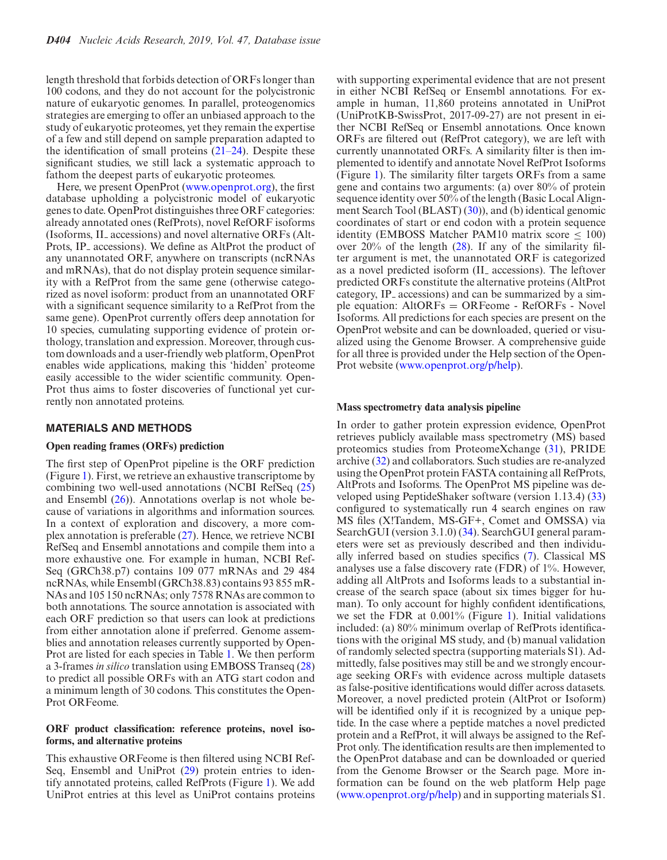length threshold that forbids detection of ORFs longer than 100 codons, and they do not account for the polycistronic nature of eukaryotic genomes. In parallel, proteogenomics strategies are emerging to offer an unbiased approach to the study of eukaryotic proteomes, yet they remain the expertise of a few and still depend on sample preparation adapted to the identification of small proteins  $(21–24)$ . Despite these significant studies, we still lack a systematic approach to fathom the deepest parts of eukaryotic proteomes.

Here, we present OpenProt [\(www.openprot.org\)](http://www.openprot.org), the first database upholding a polycistronic model of eukaryotic genes to date. OpenProt distinguishes three ORF categories: already annotated ones (RefProts), novel RefORF isoforms (Isoforms, II accessions) and novel alternative ORFs (Alt-Prots, IP<sub>-</sub> accessions). We define as AltProt the product of any unannotated ORF, anywhere on transcripts (ncRNAs and mRNAs), that do not display protein sequence similarity with a RefProt from the same gene (otherwise categorized as novel isoform: product from an unannotated ORF with a significant sequence similarity to a RefProt from the same gene). OpenProt currently offers deep annotation for 10 species, cumulating supporting evidence of protein orthology, translation and expression. Moreover, through custom downloads and a user-friendly web platform, OpenProt enables wide applications, making this 'hidden' proteome easily accessible to the wider scientific community. Open-Prot thus aims to foster discoveries of functional yet currently non annotated proteins.

## **MATERIALS AND METHODS**

## **Open reading frames (ORFs) prediction**

The first step of OpenProt pipeline is the ORF prediction (Figure [1\)](#page-2-0). First, we retrieve an exhaustive transcriptome by combining two well-used annotations (NCBI RefSeq [\(25\)](#page-7-0) and Ensembl  $(26)$ ). Annotations overlap is not whole because of variations in algorithms and information sources. In a context of exploration and discovery, a more complex annotation is preferable [\(27\)](#page-7-0). Hence, we retrieve NCBI RefSeq and Ensembl annotations and compile them into a more exhaustive one. For example in human, NCBI Ref-Seq (GRCh38.p7) contains 109 077 mRNAs and 29 484 ncRNAs, while Ensembl (GRCh38.83) contains 93 855 mR-NAs and 105 150 ncRNAs; only 7578 RNAs are common to both annotations. The source annotation is associated with each ORF prediction so that users can look at predictions from either annotation alone if preferred. Genome assemblies and annotation releases currently supported by Open-Prot are listed for each species in Table [1.](#page-3-0) We then perform a 3-frames *in silico* translation using EMBOSS Transeq [\(28\)](#page-7-0) to predict all possible ORFs with an ATG start codon and a minimum length of 30 codons. This constitutes the Open-Prot ORFeome.

#### **ORF product classification: reference proteins, novel isoforms, and alternative proteins**

This exhaustive ORFeome is then filtered using NCBI Ref-Seq, Ensembl and UniProt [\(29\)](#page-7-0) protein entries to identify annotated proteins, called RefProts (Figure [1\)](#page-2-0). We add UniProt entries at this level as UniProt contains proteins

with supporting experimental evidence that are not present in either NCBI RefSeq or Ensembl annotations. For example in human, 11,860 proteins annotated in UniProt (UniProtKB-SwissProt, 2017-09-27) are not present in either NCBI RefSeq or Ensembl annotations. Once known ORFs are filtered out (RefProt category), we are left with currently unannotated ORFs. A similarity filter is then implemented to identify and annotate Novel RefProt Isoforms (Figure [1\)](#page-2-0). The similarity filter targets ORFs from a same gene and contains two arguments: (a) over 80% of protein sequence identity over 50% of the length (Basic Local Alignment Search Tool (BLAST) [\(30\)](#page-7-0)), and (b) identical genomic coordinates of start or end codon with a protein sequence identity (EMBOSS Matcher PAM10 matrix score ≤ 100) over 20% of the length  $(28)$ . If any of the similarity filter argument is met, the unannotated ORF is categorized as a novel predicted isoform (II<sub>-</sub> accessions). The leftover predicted ORFs constitute the alternative proteins (AltProt category, IP accessions) and can be summarized by a simple equation: AltORFs = ORFeome - RefORFs - Novel Isoforms. All predictions for each species are present on the OpenProt website and can be downloaded, queried or visualized using the Genome Browser. A comprehensive guide for all three is provided under the Help section of the Open-Prot website [\(www.openprot.org/p/help\)](http://www.openprot.org/p/help).

## **Mass spectrometry data analysis pipeline**

In order to gather protein expression evidence, OpenProt retrieves publicly available mass spectrometry (MS) based proteomics studies from ProteomeXchange [\(31\)](#page-7-0), PRIDE archive [\(32\)](#page-7-0) and collaborators. Such studies are re-analyzed using the OpenProt protein FASTA containing all RefProts, AltProts and Isoforms. The OpenProt MS pipeline was developed using PeptideShaker software (version 1.13.4) [\(33\)](#page-7-0) configured to systematically run 4 search engines on raw MS files (X!Tandem, MS-GF+, Comet and OMSSA) via SearchGUI (version 3.1.0) [\(34\)](#page-7-0). SearchGUI general parameters were set as previously described and then individually inferred based on studies specifics [\(7\)](#page-7-0). Classical MS analyses use a false discovery rate (FDR) of 1%. However, adding all AltProts and Isoforms leads to a substantial increase of the search space (about six times bigger for human). To only account for highly confident identifications, we set the FDR at 0.001% (Figure [1\)](#page-2-0). Initial validations included: (a) 80% minimum overlap of RefProts identifications with the original MS study, and (b) manual validation of randomly selected spectra (supporting materials S1). Admittedly, false positives may still be and we strongly encourage seeking ORFs with evidence across multiple datasets as false-positive identifications would differ across datasets. Moreover, a novel predicted protein (AltProt or Isoform) will be identified only if it is recognized by a unique peptide. In the case where a peptide matches a novel predicted protein and a RefProt, it will always be assigned to the Ref-Prot only. The identification results are then implemented to the OpenProt database and can be downloaded or queried from the Genome Browser or the Search page. More information can be found on the web platform Help page [\(www.openprot.org/p/help\)](http://www.openprot.org/p/help) and in supporting materials S1.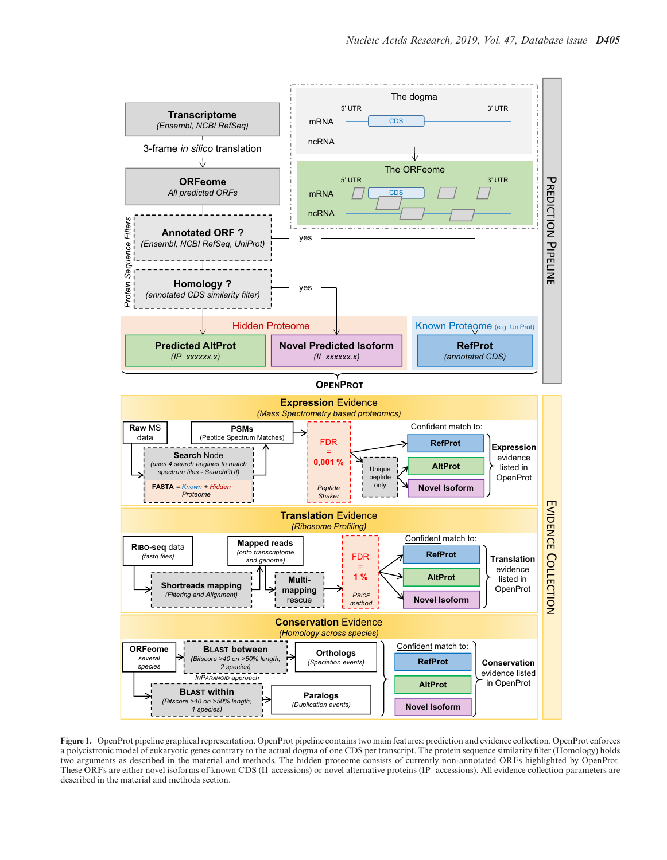<span id="page-2-0"></span>

**Figure 1.** OpenProt pipeline graphical representation. OpenProt pipeline contains two main features: prediction and evidence collection. OpenProt enforces a polycistronic model of eukaryotic genes contrary to the actual dogma of one CDS per transcript. The protein sequence similarity filter (Homology) holds two arguments as described in the material and methods. The hidden proteome consists of currently non-annotated ORFs highlighted by OpenProt. These ORFs are either novel isoforms of known CDS (II accessions) or novel alternative proteins (IP accessions). All evidence collection parameters are described in the material and methods section.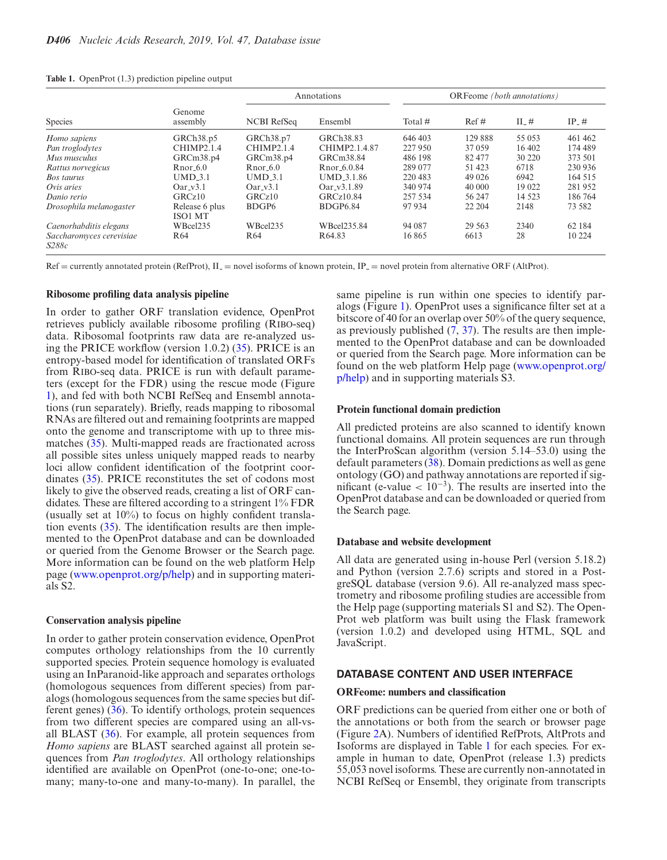<span id="page-3-0"></span>

|  | <b>Table 1.</b> OpenProt (1.3) prediction pipeline output |  |  |  |  |
|--|-----------------------------------------------------------|--|--|--|--|
|--|-----------------------------------------------------------|--|--|--|--|

|                                   |                                  |                    | Annotations             | <b>ORFeome</b> (both annotations) |         |          |                    |  |
|-----------------------------------|----------------------------------|--------------------|-------------------------|-----------------------------------|---------|----------|--------------------|--|
| Species                           | Genome<br>assembly               | <b>NCBI RefSeq</b> | Ensembl                 | Total $#$                         | Ref#    | $II - #$ | $IP$ <sub>-#</sub> |  |
| Homo sapiens                      | GRCh38.p5                        | GRCh38.p7          | GRCh38.83               | 646 403                           | 129 888 | 55 0 53  | 461 462            |  |
| Pan troglodytes                   | CHIMP2.1.4                       | CHIMP2.1.4         | CHIMP2.1.4.87           | 227 950                           | 37059   | 16402    | 174 489            |  |
| Mus musculus                      | GRCm38.p4                        | GRCm38.p4          | GRCm38.84               | 486 198                           | 82477   | 30 220   | 373 501            |  |
| Rattus norvegicus                 | $Rnor_60$                        | $Rnor_6.0$         | Rnor <sub>-6.0.84</sub> | 289 077                           | 51 423  | 6718     | 230 936            |  |
| Bos taurus                        | $UMD_3.1$                        | UMD <sub>3.1</sub> | UMD <sub>-3</sub> .1.86 | 220 483                           | 49 0 26 | 6942     | 164 515            |  |
| Ovis aries                        | $Oar_v3.1$                       | $Oar_v3.1$         | Oar v3.1.89             | 340 974                           | 40 000  | 19 022   | 281 952            |  |
| Danio rerio                       | GRCz10                           | GRCz10             | GRCz10.84               | 257 534                           | 56 247  | 14 5 23  | 186 764            |  |
| Drosophila melanogaster           | Release 6 plus<br><b>ISO1 MT</b> | BDGP <sub>6</sub>  | <b>BDGP6.84</b>         | 97 934                            | 22 204  | 2148     | 73 582             |  |
| Caenorhabditis elegans            | WBcel235                         | WBcel235           | WBcel235.84             | 94 087                            | 29 5 63 | 2340     | 62 184             |  |
| Saccharomyces cerevisiae<br>S288c | R <sub>64</sub>                  | R <sub>64</sub>    | R <sub>64.83</sub>      | 16865                             | 6613    | 28       | 10 224             |  |

 $Ref = currently annotated protein (RefProt), II = novel isoforms of known protein, IP = novel protein from alternative ORF (AltProt).$ 

## **Ribosome profiling data analysis pipeline**

In order to gather ORF translation evidence, OpenProt retrieves publicly available ribosome profiling (RIBO-seq) data. Ribosomal footprints raw data are re-analyzed using the PRICE workflow (version 1.0.2) [\(35\)](#page-7-0). PRICE is an entropy-based model for identification of translated ORFs from RIBO-seq data. PRICE is run with default parameters (except for the FDR) using the rescue mode (Figure [1\)](#page-2-0), and fed with both NCBI RefSeq and Ensembl annotations (run separately). Briefly, reads mapping to ribosomal RNAs are filtered out and remaining footprints are mapped onto the genome and transcriptome with up to three mismatches [\(35\)](#page-7-0). Multi-mapped reads are fractionated across all possible sites unless uniquely mapped reads to nearby loci allow confident identification of the footprint coordinates [\(35\)](#page-7-0). PRICE reconstitutes the set of codons most likely to give the observed reads, creating a list of ORF candidates. These are filtered according to a stringent 1% FDR (usually set at 10%) to focus on highly confident translation events [\(35\)](#page-7-0). The identification results are then implemented to the OpenProt database and can be downloaded or queried from the Genome Browser or the Search page. More information can be found on the web platform Help page [\(www.openprot.org/p/help\)](http://www.openprot.org/p/help) and in supporting materials S2.

#### **Conservation analysis pipeline**

In order to gather protein conservation evidence, OpenProt computes orthology relationships from the 10 currently supported species. Protein sequence homology is evaluated using an InParanoid-like approach and separates orthologs (homologous sequences from different species) from paralogs (homologous sequences from the same species but different genes) [\(36\)](#page-7-0). To identify orthologs, protein sequences from two different species are compared using an all-vsall BLAST [\(36\)](#page-7-0). For example, all protein sequences from *Homo sapiens* are BLAST searched against all protein sequences from *Pan troglodytes*. All orthology relationships identified are available on OpenProt (one-to-one; one-tomany; many-to-one and many-to-many). In parallel, the same pipeline is run within one species to identify paralogs (Figure [1\)](#page-2-0). OpenProt uses a significance filter set at a bitscore of 40 for an overlap over 50% of the query sequence, as previously published  $(7, 37)$  $(7, 37)$  $(7, 37)$ . The results are then implemented to the OpenProt database and can be downloaded or queried from the Search page. More information can be [found on the web platform Help page \(www.openprot.org/](http://www.openprot.org/p/help) p/help) and in supporting materials S3.

## **Protein functional domain prediction**

All predicted proteins are also scanned to identify known functional domains. All protein sequences are run through the InterProScan algorithm (version 5.14–53.0) using the default parameters [\(38\)](#page-7-0). Domain predictions as well as gene ontology (GO) and pathway annotations are reported if significant (e-value  $< 10^{-3}$ ). The results are inserted into the OpenProt database and can be downloaded or queried from the Search page.

#### **Database and website development**

All data are generated using in-house Perl (version 5.18.2) and Python (version 2.7.6) scripts and stored in a PostgreSQL database (version 9.6). All re-analyzed mass spectrometry and ribosome profiling studies are accessible from the Help page (supporting materials S1 and S2). The Open-Prot web platform was built using the Flask framework (version 1.0.2) and developed using HTML, SQL and JavaScript.

## **DATABASE CONTENT AND USER INTERFACE**

## **ORFeome: numbers and classification**

ORF predictions can be queried from either one or both of the annotations or both from the search or browser page (Figure [2A](#page-4-0)). Numbers of identified RefProts, AltProts and Isoforms are displayed in Table 1 for each species. For example in human to date, OpenProt (release 1.3) predicts 55,053 novel isoforms. These are currently non-annotated in NCBI RefSeq or Ensembl, they originate from transcripts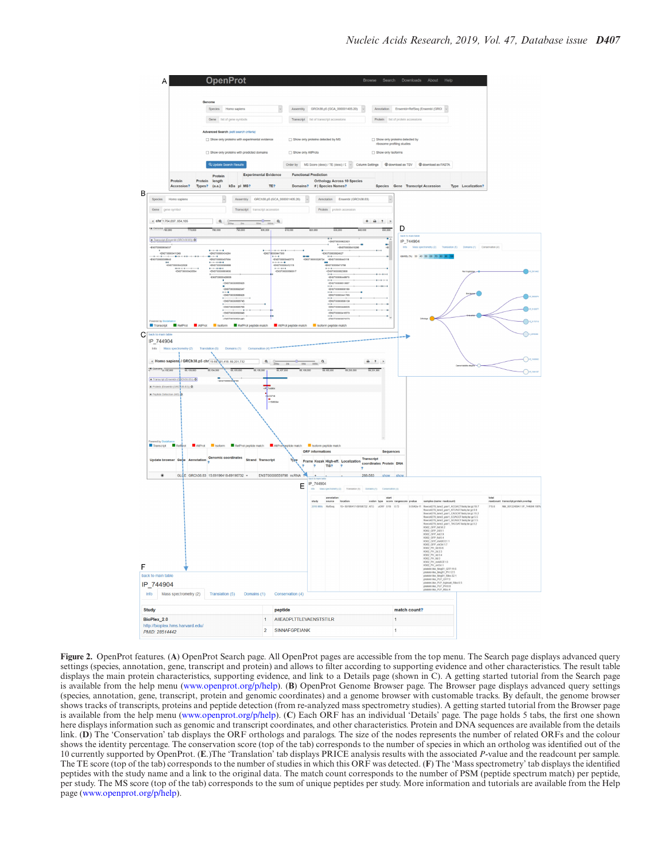<span id="page-4-0"></span>

**Figure 2.** OpenProt features. (**A**) OpenProt Search page. All OpenProt pages are accessible from the top menu. The Search page displays advanced query settings (species, annotation, gene, transcript and protein) and allows to filter according to supporting evidence and other characteristics. The result table displays the main protein characteristics, supporting evidence, and link to a Details page (shown in C). A getting started tutorial from the Search page is available from the help menu [\(www.openprot.org/p/help\)](http://www.openprot.org/p/help). (**B**) OpenProt Genome Browser page. The Browser page displays advanced query settings (species, annotation, gene, transcript, protein and genomic coordinates) and a genome browser with customable tracks. By default, the genome browser shows tracks of transcripts, proteins and peptide detection (from re-analyzed mass spectrometry studies). A getting started tutorial from the Browser page is available from the help menu [\(www.openprot.org/p/help\)](http://www.openprot.org/p/help). (**C**) Each ORF has an individual 'Details' page. The page holds 5 tabs, the first one shown here displays information such as genomic and transcript coordinates, and other characteristics. Protein and DNA sequences are available from the details link. (**D**) The 'Conservation' tab displays the ORF orthologs and paralogs. The size of the nodes represents the number of related ORFs and the colour shows the identity percentage. The conservation score (top of the tab) corresponds to the number of species in which an ortholog was identified out of the 10 currently supported by OpenProt. (**E**.)The 'Translation' tab displays PRICE analysis results with the associated *P*-value and the readcount per sample. The TE score (top of the tab) corresponds to the number of studies in which this ORF was detected. (**F**) The 'Mass spectrometry' tab displays the identified peptides with the study name and a link to the original data. The match count corresponds to the number of PSM (peptide spectrum match) per peptide, per study. The MS score (top of the tab) corresponds to the sum of unique peptides per study. More information and tutorials are available from the Help page [\(www.openprot.org/p/help\)](http://www.openprot.org/p/help).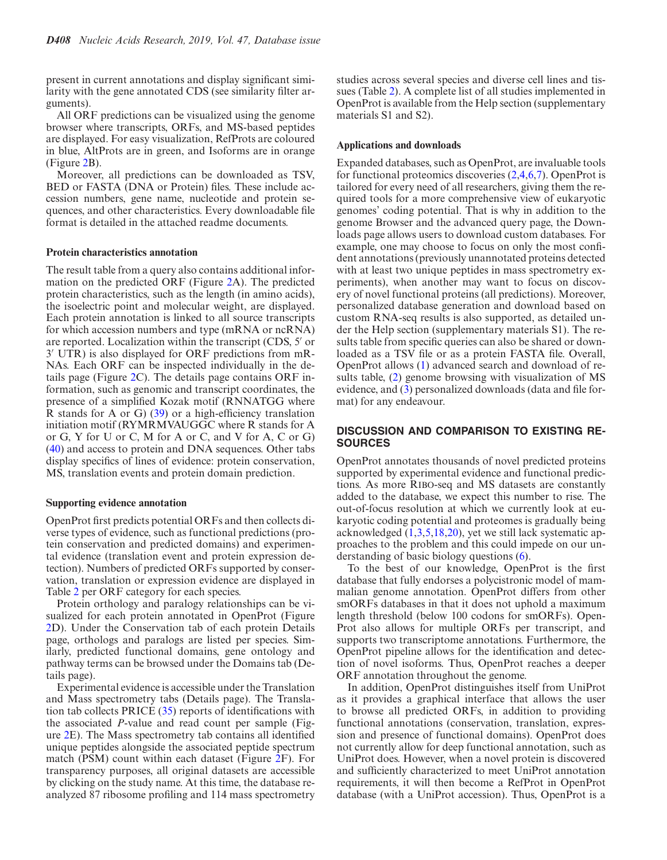present in current annotations and display significant similarity with the gene annotated CDS (see similarity filter arguments).

All ORF predictions can be visualized using the genome browser where transcripts, ORFs, and MS-based peptides are displayed. For easy visualization, RefProts are coloured in blue, AltProts are in green, and Isoforms are in orange (Figure [2B](#page-4-0)).

Moreover, all predictions can be downloaded as TSV, BED or FASTA (DNA or Protein) files. These include accession numbers, gene name, nucleotide and protein sequences, and other characteristics. Every downloadable file format is detailed in the attached readme documents.

## **Protein characteristics annotation**

The result table from a query also contains additional information on the predicted ORF (Figure [2A](#page-4-0)). The predicted protein characteristics, such as the length (in amino acids), the isoelectric point and molecular weight, are displayed. Each protein annotation is linked to all source transcripts for which accession numbers and type (mRNA or ncRNA) are reported. Localization within the transcript (CDS, 5' or 3' UTR) is also displayed for ORF predictions from mR-NAs. Each ORF can be inspected individually in the details page (Figure [2C](#page-4-0)). The details page contains ORF information, such as genomic and transcript coordinates, the presence of a simplified Kozak motif (RNNATGG where R stands for A or G)  $(39)$  or a high-efficiency translation initiation motif (RYMRMVAUGGC where R stands for A or G, Y for U or C, M for A or C, and V for A, C or G) [\(40\)](#page-7-0) and access to protein and DNA sequences. Other tabs display specifics of lines of evidence: protein conservation, MS, translation events and protein domain prediction.

## **Supporting evidence annotation**

OpenProt first predicts potential ORFs and then collects diverse types of evidence, such as functional predictions (protein conservation and predicted domains) and experimental evidence (translation event and protein expression detection). Numbers of predicted ORFs supported by conservation, translation or expression evidence are displayed in Table [2](#page-6-0) per ORF category for each species.

Protein orthology and paralogy relationships can be visualized for each protein annotated in OpenProt (Figure [2D](#page-4-0)). Under the Conservation tab of each protein Details page, orthologs and paralogs are listed per species. Similarly, predicted functional domains, gene ontology and pathway terms can be browsed under the Domains tab (Details page).

Experimental evidence is accessible under the Translation and Mass spectrometry tabs (Details page). The Translation tab collects PRICE [\(35\)](#page-7-0) reports of identifications with the associated *P*-value and read count per sample (Figure [2E](#page-4-0)). The Mass spectrometry tab contains all identified unique peptides alongside the associated peptide spectrum match (PSM) count within each dataset (Figure [2F](#page-4-0)). For transparency purposes, all original datasets are accessible by clicking on the study name. At this time, the database reanalyzed 87 ribosome profiling and 114 mass spectrometry

studies across several species and diverse cell lines and tissues (Table [2\)](#page-6-0). A complete list of all studies implemented in OpenProt is available from the Help section (supplementary materials S1 and S2).

#### **Applications and downloads**

Expanded databases, such as OpenProt, are invaluable tools for functional proteomics discoveries [\(2,4,6,](#page-6-0)[7\)](#page-7-0). OpenProt is tailored for every need of all researchers, giving them the required tools for a more comprehensive view of eukaryotic genomes' coding potential. That is why in addition to the genome Browser and the advanced query page, the Downloads page allows users to download custom databases. For example, one may choose to focus on only the most confident annotations (previously unannotated proteins detected with at least two unique peptides in mass spectrometry experiments), when another may want to focus on discovery of novel functional proteins (all predictions). Moreover, personalized database generation and download based on custom RNA-seq results is also supported, as detailed under the Help section (supplementary materials S1). The results table from specific queries can also be shared or downloaded as a TSV file or as a protein FASTA file. Overall, OpenProt allows [\(1\)](#page-6-0) advanced search and download of results table, [\(2\)](#page-6-0) genome browsing with visualization of MS evidence, and [\(3\)](#page-6-0) personalized downloads (data and file format) for any endeavour.

## **DISCUSSION AND COMPARISON TO EXISTING RE-SOURCES**

OpenProt annotates thousands of novel predicted proteins supported by experimental evidence and functional predictions. As more RIBO-seq and MS datasets are constantly added to the database, we expect this number to rise. The out-of-focus resolution at which we currently look at eukaryotic coding potential and proteomes is gradually being acknowledged [\(1,3,5,](#page-6-0)[18,20\)](#page-7-0), yet we still lack systematic approaches to the problem and this could impede on our understanding of basic biology questions [\(6\)](#page-6-0).

To the best of our knowledge, OpenProt is the first database that fully endorses a polycistronic model of mammalian genome annotation. OpenProt differs from other smORFs databases in that it does not uphold a maximum length threshold (below 100 codons for smORFs). Open-Prot also allows for multiple ORFs per transcript, and supports two transcriptome annotations. Furthermore, the OpenProt pipeline allows for the identification and detection of novel isoforms. Thus, OpenProt reaches a deeper ORF annotation throughout the genome.

In addition, OpenProt distinguishes itself from UniProt as it provides a graphical interface that allows the user to browse all predicted ORFs, in addition to providing functional annotations (conservation, translation, expression and presence of functional domains). OpenProt does not currently allow for deep functional annotation, such as UniProt does. However, when a novel protein is discovered and sufficiently characterized to meet UniProt annotation requirements, it will then become a RefProt in OpenProt database (with a UniProt accession). Thus, OpenProt is a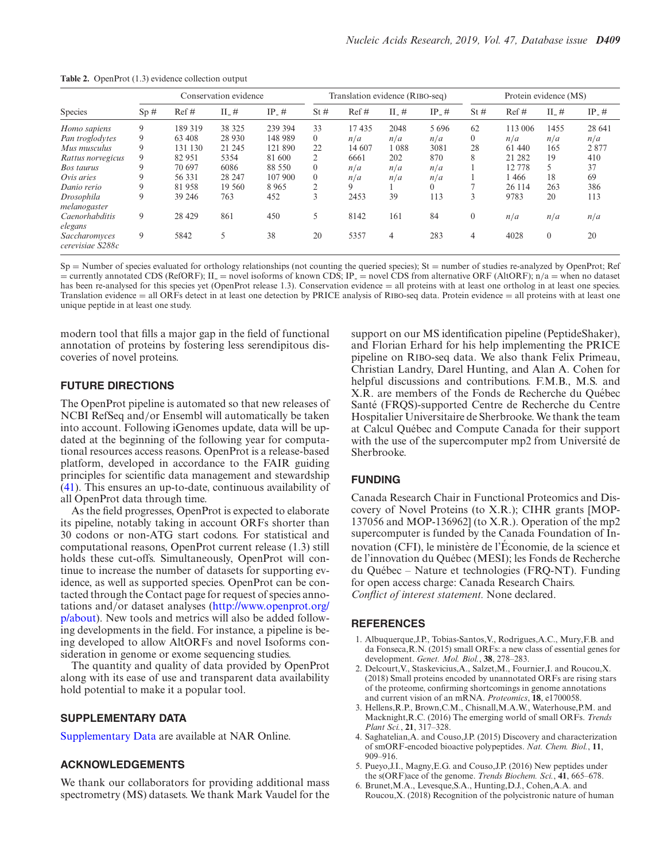| Species                           | Conservation evidence |         |          | Translation evidence (RIBO-seq) |                |        |                       | Protein evidence (MS) |              |         |              |                    |
|-----------------------------------|-----------------------|---------|----------|---------------------------------|----------------|--------|-----------------------|-----------------------|--------------|---------|--------------|--------------------|
|                                   | Sp#                   | Ref#    | $II - #$ | $IP$ <sub>-#</sub>              | St#            | Ref#   | $II$ <sub>+</sub> $#$ | $IP.$ #               | St#          | Ref#    | $II - #$     | $IP$ <sub>-#</sub> |
| Homo sapiens                      | 9                     | 189 319 | 38 325   | 239 394                         | 33             | 17435  | 2048                  | 5696                  | 62           | 113 006 | 1455         | 28 641             |
| Pan troglodytes                   | 9                     | 63 408  | 28 9 30  | 148 989                         | $\Omega$       | n/a    | n/a                   | n/a                   | $\Omega$     | n/a     | n/a          | n/a                |
| Mus musculus                      | 9                     | 131 130 | 21 245   | 121 890                         | 22             | 14 607 | 1088                  | 3081                  | 28           | 61 440  | 165          | 2877               |
| Rattus norvegicus                 | 9                     | 82951   | 5354     | 81 600                          | 2              | 6661   | 202                   | 870                   | 8            | 21 28 2 | 19           | 410                |
| Bos taurus                        | 9                     | 70 697  | 6086     | 88 550                          | $\theta$       | n/a    | n/a                   | n/a                   |              | 12 778  |              | 37                 |
| Ovis aries                        | 9                     | 56 331  | 28 247   | 107 900                         | $\mathbf{0}$   | n/a    | n/a                   | n/a                   |              | 1466    | 18           | 69                 |
| Danio rerio                       | 9                     | 81958   | 19 560   | 8965                            | $\overline{2}$ | 9      |                       | $\Omega$              |              | 26 114  | 263          | 386                |
| Drosophila<br>melanogaster        | 9                     | 39 24 6 | 763      | 452                             | 3              | 2453   | 39                    | 113                   | 3            | 9783    | 20           | 113                |
| Caenorhabditis<br>elegans         | 9                     | 28 4 29 | 861      | 450                             | 5              | 8142   | 161                   | 84                    | $\mathbf{0}$ | n/a     | n/a          | n/a                |
| Saccharomyces<br>cerevisiae S288c | 9                     | 5842    | 5        | 38                              | 20             | 5357   | 4                     | 283                   | 4            | 4028    | $\mathbf{0}$ | 20                 |

<span id="page-6-0"></span>**Table 2.** OpenProt (1.3) evidence collection output

 $Sp =$  Number of species evaluated for orthology relationships (not counting the queried species);  $St =$  number of studies re-analyzed by OpenProt; Ref  $=$  currently annotated CDS (RefORF); II  $=$  novel isoforms of known CDS; IP  $=$  novel CDS from alternative ORF (AltORF); n/a  $=$  when no dataset has been re-analysed for this species yet (OpenProt release 1.3). Conservation evidence = all proteins with at least one ortholog in at least one species. Translation evidence = all ORFs detect in at least one detection by PRICE analysis of RIBO-seq data. Protein evidence = all proteins with at least one unique peptide in at least one study.

modern tool that fills a major gap in the field of functional annotation of proteins by fostering less serendipitous discoveries of novel proteins.

## **FUTURE DIRECTIONS**

The OpenProt pipeline is automated so that new releases of NCBI RefSeq and/or Ensembl will automatically be taken into account. Following iGenomes update, data will be updated at the beginning of the following year for computational resources access reasons. OpenProt is a release-based platform, developed in accordance to the FAIR guiding principles for scientific data management and stewardship [\(41\)](#page-7-0). This ensures an up-to-date, continuous availability of all OpenProt data through time.

As the field progresses, OpenProt is expected to elaborate its pipeline, notably taking in account ORFs shorter than 30 codons or non-ATG start codons. For statistical and computational reasons, OpenProt current release (1.3) still holds these cut-offs. Simultaneously, OpenProt will continue to increase the number of datasets for supporting evidence, as well as supported species. OpenProt can be contacted through the Contact page for request of species annotations and/or dataset analyses (http://www.openprot.org/ [p/about\). New tools and metrics will also be added follow](http://www.openprot.org/p/about)ing developments in the field. For instance, a pipeline is being developed to allow AltORFs and novel Isoforms consideration in genome or exome sequencing studies.

The quantity and quality of data provided by OpenProt along with its ease of use and transparent data availability hold potential to make it a popular tool.

## **SUPPLEMENTARY DATA**

[Supplementary Data](https://academic.oup.com/nar/article-lookup/doi/10.1093/nar/gky936#supplementary-data) are available at NAR Online.

## **ACKNOWLEDGEMENTS**

We thank our collaborators for providing additional mass spectrometry (MS) datasets. We thank Mark Vaudel for the support on our MS identification pipeline (PeptideShaker), and Florian Erhard for his help implementing the PRICE pipeline on RIBO-seq data. We also thank Felix Primeau, Christian Landry, Darel Hunting, and Alan A. Cohen for helpful discussions and contributions. F.M.B., M.S. and X.R. are members of the Fonds de Recherche du Québec Santé (FRQS)-supported Centre de Recherche du Centre Hospitalier Universitaire de Sherbrooke. We thank the team at Calcul Quebec and Compute Canada for their support ´ with the use of the supercomputer mp2 from Université de Sherbrooke.

## **FUNDING**

Canada Research Chair in Functional Proteomics and Discovery of Novel Proteins (to X.R.); CIHR grants [MOP-137056 and MOP-136962] (to X.R.). Operation of the mp2 supercomputer is funded by the Canada Foundation of Innovation (CFI), le ministère de l'Économie, de la science et de l'innovation du Quebec (MESI); les Fonds de Recherche ´ du Quebec – Nature et technologies (FRQ-NT). Funding ´ for open access charge: Canada Research Chairs. *Conflict of interest statement.* None declared.

## **REFERENCES**

- 1. Albuquerque,J.P., Tobias-Santos,V., Rodrigues,A.C., Mury,F.B. and da Fonseca,R.N. (2015) small ORFs: a new class of essential genes for development. *Genet. Mol. Biol.*, **38**, 278–283.
- 2. Delcourt,V., Staskevicius,A., Salzet,M., Fournier,I. and Roucou,X. (2018) Small proteins encoded by unannotated ORFs are rising stars of the proteome, confirming shortcomings in genome annotations and current vision of an mRNA. *Proteomics*, **18**, e1700058.
- 3. Hellens,R.P., Brown,C.M., Chisnall,M.A.W., Waterhouse,P.M. and Macknight,R.C. (2016) The emerging world of small ORFs. *Trends Plant Sci.*, **21**, 317–328.
- 4. Saghatelian,A. and Couso,J.P. (2015) Discovery and characterization of smORF-encoded bioactive polypeptides. *Nat. Chem. Biol.*, **11**, 909–916.
- 5. Pueyo,J.I., Magny,E.G. and Couso,J.P. (2016) New peptides under the s(ORF)ace of the genome. *Trends Biochem. Sci.*, **41**, 665–678.
- 6. Brunet,M.A., Levesque,S.A., Hunting,D.J., Cohen,A.A. and Roucou,X. (2018) Recognition of the polycistronic nature of human